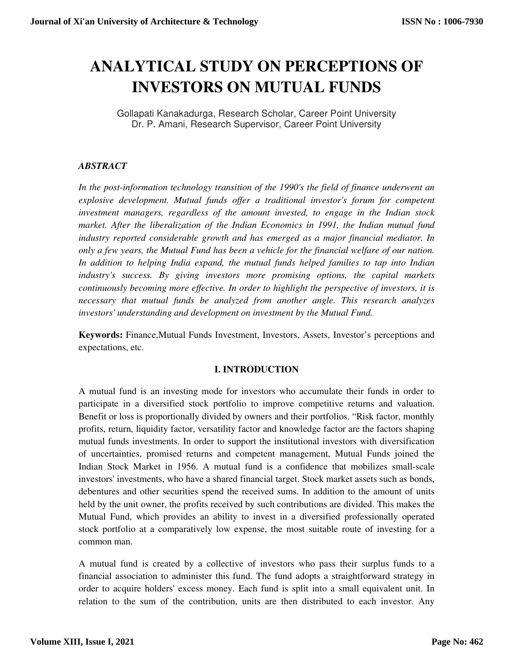# **ANALYTICAL STUDY ON PERCEPTIONS OF INVESTORS ON MUTUAL FUNDS**

Gollapati Kanakadurga, Research Scholar, Career Point University Dr. P. Amani, Research Supervisor, Career Point University

## *ABSTRACT*

In the post-information technology transition of the 1990's the field of finance underwent an *explosive development. Mutual funds offer a traditional investor's forum for competent investment managers, regardless of the amount invested, to engage in the Indian stock market. After the liberalization of the Indian Economics in 1991, the Indian mutual fund industry reported considerable growth and has emerged as a major financial mediator. In only a few years, the Mutual Fund has been a vehicle for the financial welfare of our nation. In addition to helping India expand, the mutual funds helped families to tap into Indian industry's success. By giving investors more promising options, the capital markets continuously becoming more effective. In order to highlight the perspective of investors, it is necessary that mutual funds be analyzed from another angle. This research analyzes investors' understanding and development on investment by the Mutual Fund.* 

**Keywords:** Finance,Mutual Funds Investment, Investors, Assets, Investor's perceptions and expectations, etc.

## **I. INTRODUCTION**

A mutual fund is an investing mode for investors who accumulate their funds in order to participate in a diversified stock portfolio to improve competitive returns and valuation. Benefit or loss is proportionally divided by owners and their portfolios. "Risk factor, monthly profits, return, liquidity factor, versatility factor and knowledge factor are the factors shaping mutual funds investments. In order to support the institutional investors with diversification of uncertainties, promised returns and competent management, Mutual Funds joined the Indian Stock Market in 1956. A mutual fund is a confidence that mobilizes small-scale investors' investments, who have a shared financial target. Stock market assets such as bonds, debentures and other securities spend the received sums. In addition to the amount of units held by the unit owner, the profits received by such contributions are divided. This makes the Mutual Fund, which provides an ability to invest in a diversified professionally operated stock portfolio at a comparatively low expense, the most suitable route of investing for a common man.

A mutual fund is created by a collective of investors who pass their surplus funds to a financial association to administer this fund. The fund adopts a straightforward strategy in order to acquire holders' excess money. Each fund is split into a small equivalent unit. In relation to the sum of the contribution, units are then distributed to each investor. Any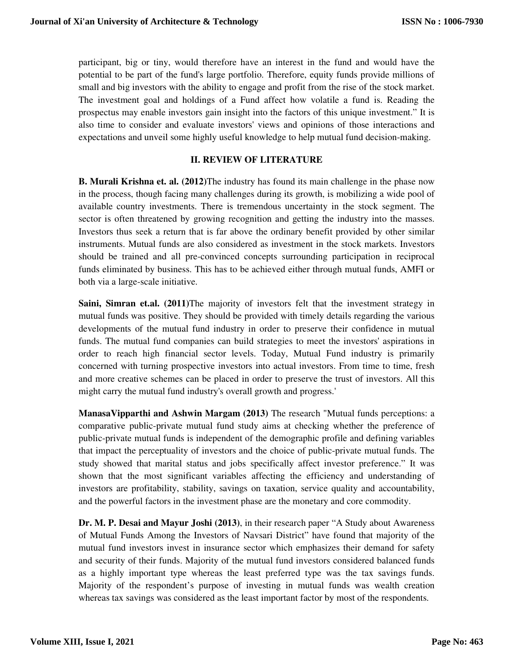participant, big or tiny, would therefore have an interest in the fund and would have the potential to be part of the fund's large portfolio. Therefore, equity funds provide millions of small and big investors with the ability to engage and profit from the rise of the stock market. The investment goal and holdings of a Fund affect how volatile a fund is. Reading the prospectus may enable investors gain insight into the factors of this unique investment." It is also time to consider and evaluate investors' views and opinions of those interactions and expectations and unveil some highly useful knowledge to help mutual fund decision-making.

## **II. REVIEW OF LITERATURE**

**B. Murali Krishna et. al. (2012)**The industry has found its main challenge in the phase now in the process, though facing many challenges during its growth, is mobilizing a wide pool of available country investments. There is tremendous uncertainty in the stock segment. The sector is often threatened by growing recognition and getting the industry into the masses. Investors thus seek a return that is far above the ordinary benefit provided by other similar instruments. Mutual funds are also considered as investment in the stock markets. Investors should be trained and all pre-convinced concepts surrounding participation in reciprocal funds eliminated by business. This has to be achieved either through mutual funds, AMFI or both via a large-scale initiative.

**Saini, Simran et.al. (2011)**The majority of investors felt that the investment strategy in mutual funds was positive. They should be provided with timely details regarding the various developments of the mutual fund industry in order to preserve their confidence in mutual funds. The mutual fund companies can build strategies to meet the investors' aspirations in order to reach high financial sector levels. Today, Mutual Fund industry is primarily concerned with turning prospective investors into actual investors. From time to time, fresh and more creative schemes can be placed in order to preserve the trust of investors. All this might carry the mutual fund industry's overall growth and progress.'

**ManasaVipparthi and Ashwin Margam (2013)** The research "Mutual funds perceptions: a comparative public-private mutual fund study aims at checking whether the preference of public-private mutual funds is independent of the demographic profile and defining variables that impact the perceptuality of investors and the choice of public-private mutual funds. The study showed that marital status and jobs specifically affect investor preference." It was shown that the most significant variables affecting the efficiency and understanding of investors are profitability, stability, savings on taxation, service quality and accountability, and the powerful factors in the investment phase are the monetary and core commodity.

**Dr. M. P. Desai and Mayur Joshi (2013)**, in their research paper "A Study about Awareness of Mutual Funds Among the Investors of Navsari District" have found that majority of the mutual fund investors invest in insurance sector which emphasizes their demand for safety and security of their funds. Majority of the mutual fund investors considered balanced funds as a highly important type whereas the least preferred type was the tax savings funds. Majority of the respondent's purpose of investing in mutual funds was wealth creation whereas tax savings was considered as the least important factor by most of the respondents.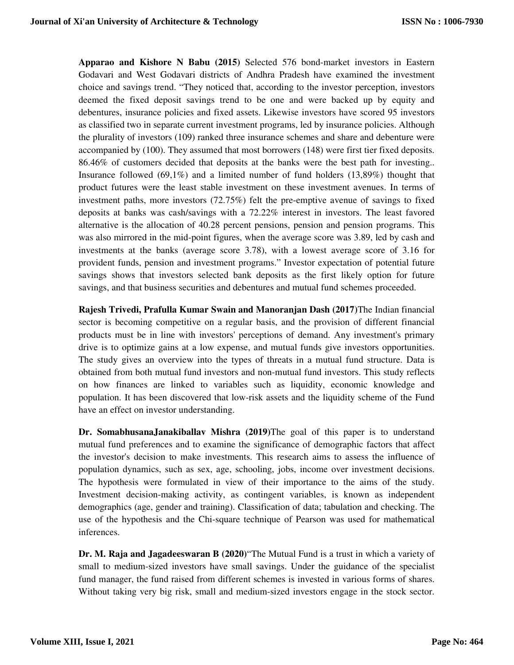**Apparao and Kishore N Babu (2015)** Selected 576 bond-market investors in Eastern Godavari and West Godavari districts of Andhra Pradesh have examined the investment choice and savings trend. "They noticed that, according to the investor perception, investors deemed the fixed deposit savings trend to be one and were backed up by equity and debentures, insurance policies and fixed assets. Likewise investors have scored 95 investors as classified two in separate current investment programs, led by insurance policies. Although the plurality of investors (109) ranked three insurance schemes and share and debenture were accompanied by (100). They assumed that most borrowers (148) were first tier fixed deposits. 86.46% of customers decided that deposits at the banks were the best path for investing.. Insurance followed (69,1%) and a limited number of fund holders (13,89%) thought that product futures were the least stable investment on these investment avenues. In terms of investment paths, more investors (72.75%) felt the pre-emptive avenue of savings to fixed deposits at banks was cash/savings with a 72.22% interest in investors. The least favored alternative is the allocation of 40.28 percent pensions, pension and pension programs. This was also mirrored in the mid-point figures, when the average score was 3.89, led by cash and investments at the banks (average score 3.78), with a lowest average score of 3.16 for provident funds, pension and investment programs." Investor expectation of potential future savings shows that investors selected bank deposits as the first likely option for future savings, and that business securities and debentures and mutual fund schemes proceeded.

**Rajesh Trivedi, Prafulla Kumar Swain and Manoranjan Dash (2017)**The Indian financial sector is becoming competitive on a regular basis, and the provision of different financial products must be in line with investors' perceptions of demand. Any investment's primary drive is to optimize gains at a low expense, and mutual funds give investors opportunities. The study gives an overview into the types of threats in a mutual fund structure. Data is obtained from both mutual fund investors and non-mutual fund investors. This study reflects on how finances are linked to variables such as liquidity, economic knowledge and population. It has been discovered that low-risk assets and the liquidity scheme of the Fund have an effect on investor understanding.

**Dr. SomabhusanaJanakiballav Mishra (2019)**The goal of this paper is to understand mutual fund preferences and to examine the significance of demographic factors that affect the investor's decision to make investments. This research aims to assess the influence of population dynamics, such as sex, age, schooling, jobs, income over investment decisions. The hypothesis were formulated in view of their importance to the aims of the study. Investment decision-making activity, as contingent variables, is known as independent demographics (age, gender and training). Classification of data; tabulation and checking. The use of the hypothesis and the Chi-square technique of Pearson was used for mathematical inferences.

**Dr. M. Raja and Jagadeeswaran B (2020)**"The Mutual Fund is a trust in which a variety of small to medium-sized investors have small savings. Under the guidance of the specialist fund manager, the fund raised from different schemes is invested in various forms of shares. Without taking very big risk, small and medium-sized investors engage in the stock sector.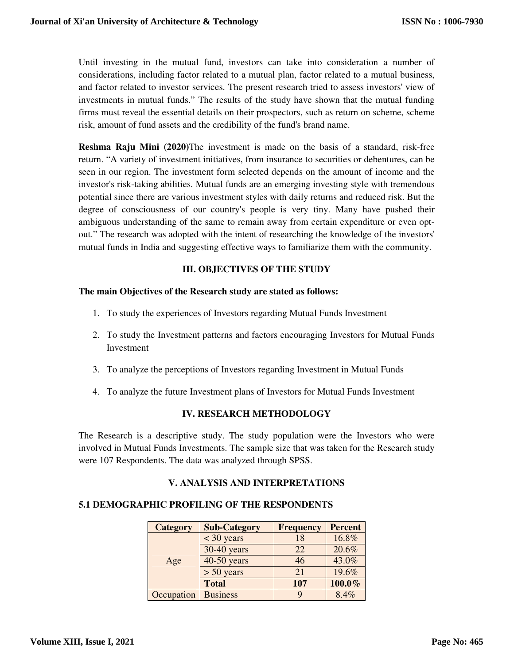Until investing in the mutual fund, investors can take into consideration a number of considerations, including factor related to a mutual plan, factor related to a mutual business, and factor related to investor services. The present research tried to assess investors' view of investments in mutual funds." The results of the study have shown that the mutual funding firms must reveal the essential details on their prospectors, such as return on scheme, scheme risk, amount of fund assets and the credibility of the fund's brand name.

**Reshma Raju Mini (2020)**The investment is made on the basis of a standard, risk-free return. "A variety of investment initiatives, from insurance to securities or debentures, can be seen in our region. The investment form selected depends on the amount of income and the investor's risk-taking abilities. Mutual funds are an emerging investing style with tremendous potential since there are various investment styles with daily returns and reduced risk. But the degree of consciousness of our country's people is very tiny. Many have pushed their ambiguous understanding of the same to remain away from certain expenditure or even optout." The research was adopted with the intent of researching the knowledge of the investors' mutual funds in India and suggesting effective ways to familiarize them with the community.

## **III. OBJECTIVES OF THE STUDY**

#### **The main Objectives of the Research study are stated as follows:**

- 1. To study the experiences of Investors regarding Mutual Funds Investment
- 2. To study the Investment patterns and factors encouraging Investors for Mutual Funds Investment
- 3. To analyze the perceptions of Investors regarding Investment in Mutual Funds
- 4. To analyze the future Investment plans of Investors for Mutual Funds Investment

## **IV. RESEARCH METHODOLOGY**

The Research is a descriptive study. The study population were the Investors who were involved in Mutual Funds Investments. The sample size that was taken for the Research study were 107 Respondents. The data was analyzed through SPSS.

## **V. ANALYSIS AND INTERPRETATIONS**

## **5.1 DEMOGRAPHIC PROFILING OF THE RESPONDENTS**

| <b>Category</b> | <b>Sub-Category</b> | <b>Frequency</b> | <b>Percent</b> |
|-----------------|---------------------|------------------|----------------|
|                 | $<$ 30 years        | 18               | 16.8%          |
|                 | 30-40 years         | 22               | 20.6%          |
| Age             | 40-50 years         | 46               | 43.0%          |
|                 | $> 50$ years        | 21               | 19.6%          |
|                 | <b>Total</b>        | 107              | 100.0%         |
| Occupation      | <b>Business</b>     |                  | 8.4%           |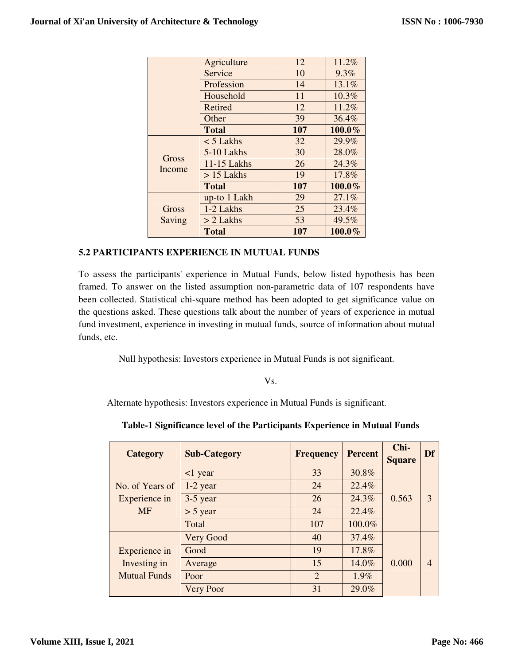|                 | Agriculture  | 12  | 11.2%  |
|-----------------|--------------|-----|--------|
|                 | Service      | 10  | 9.3%   |
|                 | Profession   | 14  | 13.1%  |
|                 | Household    | 11  | 10.3%  |
|                 | Retired      | 12  | 11.2%  |
|                 | Other        | 39  | 36.4%  |
|                 | <b>Total</b> | 107 | 100.0% |
|                 | $<$ 5 Lakhs  | 32  | 29.9%  |
|                 | 5-10 Lakhs   | 30  | 28.0%  |
| Gross<br>Income | 11-15 Lakhs  | 26  | 24.3%  |
|                 | $> 15$ Lakhs | 19  | 17.8%  |
|                 | <b>Total</b> | 107 | 100.0% |
|                 | up-to 1 Lakh | 29  | 27.1%  |
| Gross           | 1-2 Lakhs    | 25  | 23.4%  |
| Saving          | $> 2$ Lakhs  | 53  | 49.5%  |
|                 | Total        | 107 | 100.0% |

## **5.2 PARTICIPANTS EXPERIENCE IN MUTUAL FUNDS**

To assess the participants' experience in Mutual Funds, below listed hypothesis has been framed. To answer on the listed assumption non-parametric data of 107 respondents have been collected. Statistical chi-square method has been adopted to get significance value on the questions asked. These questions talk about the number of years of experience in mutual fund investment, experience in investing in mutual funds, source of information about mutual funds, etc.

Null hypothesis: Investors experience in Mutual Funds is not significant.

Vs.

Alternate hypothesis: Investors experience in Mutual Funds is significant.

| Table-1 Significance level of the Participants Experience in Mutual Funds |  |  |  |  |
|---------------------------------------------------------------------------|--|--|--|--|
|---------------------------------------------------------------------------|--|--|--|--|

| <b>Category</b>      | <b>Sub-Category</b> | <b>Frequency</b> | <b>Percent</b> | Chi-<br><b>Square</b> | Df             |
|----------------------|---------------------|------------------|----------------|-----------------------|----------------|
|                      | $\leq$ 1 year       | 33               | 30.8%          |                       |                |
| No. of Years of      | $1-2$ year          | 24               | 22.4%          |                       |                |
| Experience in        | 3-5 year            | 26               | 24.3%          | 0.563                 | 3              |
| <b>MF</b>            | $> 5$ year          | 24               | 22.4%          |                       |                |
|                      | Total               | 107              | 100.0%         |                       |                |
|                      | Very Good           | 40               | 37.4%          |                       |                |
| <b>Experience</b> in | Good                | 19               | 17.8%          |                       |                |
| Investing in         | Average             | 15               | 14.0%          | 0.000                 | $\overline{4}$ |
| <b>Mutual Funds</b>  | Poor                | $\overline{2}$   | $1.9\%$        |                       |                |
|                      | <b>Very Poor</b>    | 31               | 29.0%          |                       |                |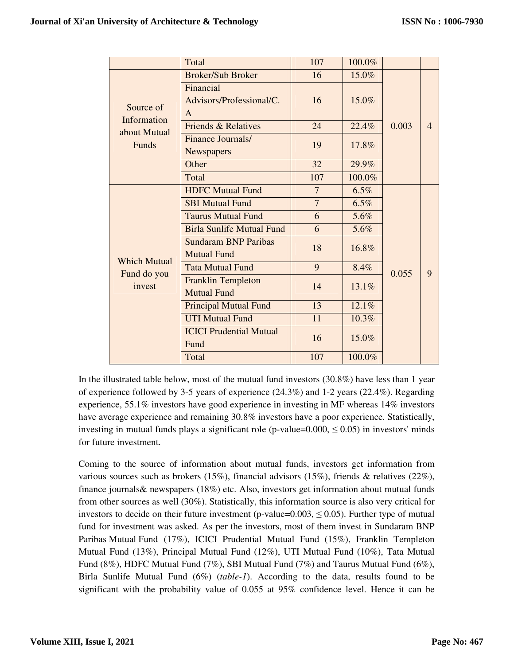|                             | Total                                             | 107            | 100.0% |       |                |
|-----------------------------|---------------------------------------------------|----------------|--------|-------|----------------|
|                             | <b>Broker/Sub Broker</b>                          | 16             | 15.0%  |       |                |
| Source of                   | Financial<br>Advisors/Professional/C.<br>A        | 16             | 15.0%  |       |                |
| Information<br>about Mutual | <b>Friends &amp; Relatives</b>                    | 24             | 22.4%  | 0.003 | $\overline{4}$ |
| Funds                       | Finance Journals/<br>Newspapers                   | 19             | 17.8%  |       |                |
|                             | Other                                             | 32             | 29.9%  |       |                |
|                             | Total                                             | 107            | 100.0% |       |                |
|                             | <b>HDFC Mutual Fund</b>                           | $\overline{7}$ | 6.5%   |       |                |
|                             | <b>SBI Mutual Fund</b>                            | $\overline{7}$ | 6.5%   |       |                |
|                             | <b>Taurus Mutual Fund</b>                         | 6              | 5.6%   |       |                |
|                             | <b>Birla Sunlife Mutual Fund</b>                  | 6              | 5.6%   |       |                |
| <b>Which Mutual</b>         | <b>Sundaram BNP Paribas</b><br><b>Mutual Fund</b> | 18             | 16.8%  |       |                |
|                             | <b>Tata Mutual Fund</b>                           | 9              | 8.4%   | 0.055 | 9              |
| Fund do you<br>invest       | <b>Franklin Templeton</b><br><b>Mutual Fund</b>   | 14             | 13.1%  |       |                |
|                             | <b>Principal Mutual Fund</b>                      | 13             | 12.1%  |       |                |
|                             | <b>UTI Mutual Fund</b>                            | 11             | 10.3%  |       |                |
|                             | <b>ICICI Prudential Mutual</b><br>Fund            | 16             | 15.0%  |       |                |
|                             | Total                                             | 107            | 100.0% |       |                |

In the illustrated table below, most of the mutual fund investors (30.8%) have less than 1 year of experience followed by 3-5 years of experience (24.3%) and 1-2 years (22.4%). Regarding experience, 55.1% investors have good experience in investing in MF whereas 14% investors have average experience and remaining 30.8% investors have a poor experience. Statistically, investing in mutual funds plays a significant role (p-value= $0.000, \leq 0.05$ ) in investors' minds for future investment.

Coming to the source of information about mutual funds, investors get information from various sources such as brokers (15%), financial advisors (15%), friends & relatives (22%), finance journals& newspapers (18%) etc. Also, investors get information about mutual funds from other sources as well (30%). Statistically, this information source is also very critical for investors to decide on their future investment (p-value=0.003,  $\leq$  0.05). Further type of mutual fund for investment was asked. As per the investors, most of them invest in Sundaram BNP Paribas Mutual Fund (17%), ICICI Prudential Mutual Fund (15%), Franklin Templeton Mutual Fund (13%), Principal Mutual Fund (12%), UTI Mutual Fund (10%), Tata Mutual Fund (8%), HDFC Mutual Fund (7%), SBI Mutual Fund (7%) and Taurus Mutual Fund (6%), Birla Sunlife Mutual Fund (6%) (*table-1*). According to the data, results found to be significant with the probability value of 0.055 at 95% confidence level. Hence it can be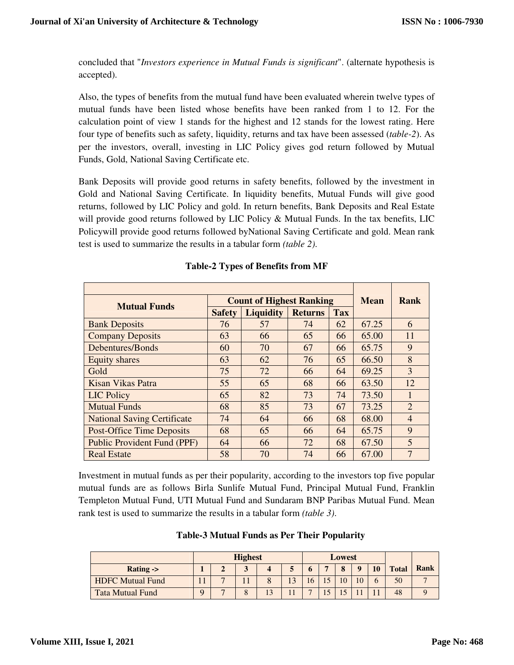concluded that "*Investors experience in Mutual Funds is significant*". (alternate hypothesis is accepted).

Also, the types of benefits from the mutual fund have been evaluated wherein twelve types of mutual funds have been listed whose benefits have been ranked from 1 to 12. For the calculation point of view 1 stands for the highest and 12 stands for the lowest rating. Here four type of benefits such as safety, liquidity, returns and tax have been assessed (*table-2*). As per the investors, overall, investing in LIC Policy gives god return followed by Mutual Funds, Gold, National Saving Certificate etc.

Bank Deposits will provide good returns in safety benefits, followed by the investment in Gold and National Saving Certificate. In liquidity benefits, Mutual Funds will give good returns, followed by LIC Policy and gold. In return benefits, Bank Deposits and Real Estate will provide good returns followed by LIC Policy  $\&$  Mutual Funds. In the tax benefits, LIC Policywill provide good returns followed byNational Saving Certificate and gold. Mean rank test is used to summarize the results in a tabular form *(table 2)*.

| <b>Mutual Funds</b>                |               | <b>Count of Highest Ranking</b>    | Mean | Rank       |       |                |
|------------------------------------|---------------|------------------------------------|------|------------|-------|----------------|
|                                    | <b>Safety</b> | <b>Liquidity</b><br><b>Returns</b> |      | <b>Tax</b> |       |                |
| <b>Bank Deposits</b>               | 76            | 57                                 | 74   | 62         | 67.25 | 6              |
| <b>Company Deposits</b>            | 63            | 66                                 | 65   | 66         | 65.00 | 11             |
| Debentures/Bonds                   | 60            | 70                                 | 67   | 66         | 65.75 | 9              |
| <b>Equity shares</b>               | 63            | 62                                 | 76   | 65         | 66.50 | 8              |
| Gold                               | 75            | 72                                 | 66   | 64         | 69.25 | 3              |
| Kisan Vikas Patra                  | 55            | 65                                 | 68   | 66         | 63.50 | 12             |
| LIC Policy                         | 65            | 82                                 | 73   | 74         | 73.50 | 1              |
| <b>Mutual Funds</b>                | 68            | 85                                 | 73   | 67         | 73.25 | $\overline{2}$ |
| <b>National Saving Certificate</b> | 74            | 64                                 | 66   | 68         | 68.00 | $\overline{4}$ |
| <b>Post-Office Time Deposits</b>   | 68            | 65                                 | 66   | 64         | 65.75 | 9              |
| <b>Public Provident Fund (PPF)</b> | 64            | 66                                 | 72   | 68         | 67.50 | 5              |
| <b>Real Estate</b>                 | 58            | 70                                 | 74   | 66         | 67.00 | 7              |

Investment in mutual funds as per their popularity, according to the investors top five popular mutual funds are as follows Birla Sunlife Mutual Fund, Principal Mutual Fund, Franklin Templeton Mutual Fund, UTI Mutual Fund and Sundaram BNP Paribas Mutual Fund. Mean rank test is used to summarize the results in a tabular form *(table 3)*.

| <b>Table-3 Mutual Funds as Per Their Popularity</b> |  |
|-----------------------------------------------------|--|
|-----------------------------------------------------|--|

|                         | <b>Highest</b> |   |          |    | Lowest |    |                |              |          |    |              |      |
|-------------------------|----------------|---|----------|----|--------|----|----------------|--------------|----------|----|--------------|------|
| Rating $\rightarrow$    |                |   | - '      |    |        |    | $\overline{ }$ | $\mathbf{o}$ | $\bf{0}$ | 10 | <b>Total</b> | Rank |
| <b>HDFC Mutual Fund</b> | - 4<br>. .     | - |          |    |        | Iб |                | 10           |          |    | 50           |      |
| <b>Tata Mutual Fund</b> | Q              | — | $\Omega$ | 13 |        | –  |                | $\epsilon$   |          |    | 48           |      |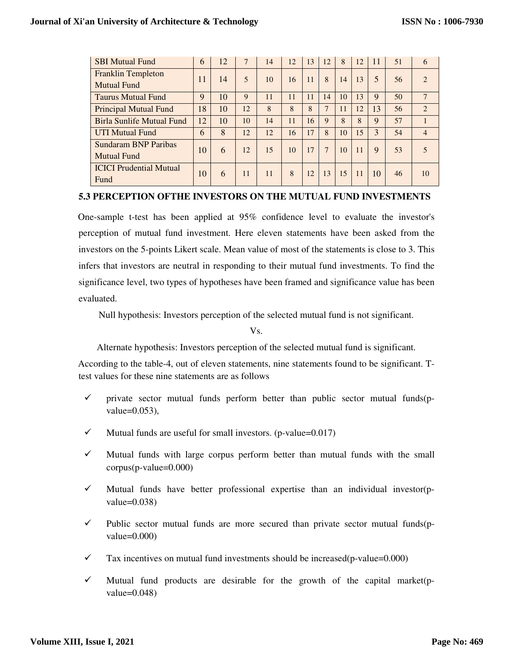| <b>SBI Mutual Fund</b>                            | 6  | 12 | 7  | 14 | 12 | 13 | 12 | 8  | 12 | 11 | 51 | 6                           |
|---------------------------------------------------|----|----|----|----|----|----|----|----|----|----|----|-----------------------------|
| <b>Franklin Templeton</b><br><b>Mutual Fund</b>   | 11 | 14 | 5  | 10 | 16 | 11 | 8  | 14 | 13 | 5  | 56 | $\mathcal{D}_{\mathcal{A}}$ |
| <b>Taurus Mutual Fund</b>                         | 9  | 10 | 9  | 11 | 11 | 11 | 14 | 10 | 13 | 9  | 50 | $\overline{7}$              |
| <b>Principal Mutual Fund</b>                      | 18 | 10 | 12 | 8  | 8  | 8  | 7  | 11 | 12 | 13 | 56 | $\mathfrak{D}$              |
| <b>Birla Sunlife Mutual Fund</b>                  | 12 | 10 | 10 | 14 | 11 | 16 | 9  | 8  | 8  | 9  | 57 |                             |
| <b>UTI Mutual Fund</b>                            | 6  | 8  | 12 | 12 | 16 | 17 | 8  | 10 | 15 | 3  | 54 | $\overline{4}$              |
| <b>Sundaram BNP Paribas</b><br><b>Mutual Fund</b> | 10 | 6  | 12 | 15 | 10 | 17 | 7  | 10 | 11 | 9  | 53 |                             |
| <b>ICICI</b> Prudential Mutual<br>Fund            | 10 | 6  | 11 | 11 | 8  | 12 | 13 | 15 | 11 | 10 | 46 | 10                          |

#### **5.3 PERCEPTION OFTHE INVESTORS ON THE MUTUAL FUND INVESTMENTS**

One-sample t-test has been applied at 95% confidence level to evaluate the investor's perception of mutual fund investment. Here eleven statements have been asked from the investors on the 5-points Likert scale. Mean value of most of the statements is close to 3. This infers that investors are neutral in responding to their mutual fund investments. To find the significance level, two types of hypotheses have been framed and significance value has been evaluated.

Null hypothesis: Investors perception of the selected mutual fund is not significant.

Vs.

Alternate hypothesis: Investors perception of the selected mutual fund is significant.

According to the table-4, out of eleven statements, nine statements found to be significant. Ttest values for these nine statements are as follows

- $\checkmark$  private sector mutual funds perform better than public sector mutual funds(pvalue=0.053),
- $\checkmark$  Mutual funds are useful for small investors. (p-value=0.017)
- $\checkmark$  Mutual funds with large corpus perform better than mutual funds with the small corpus(p-value=0.000)
- $\checkmark$  Mutual funds have better professional expertise than an individual investor(pvalue= $0.038$ )
- $\checkmark$  Public sector mutual funds are more secured than private sector mutual funds(pvalue=0.000)
- $\checkmark$  Tax incentives on mutual fund investments should be increased(p-value=0.000)
- $\checkmark$  Mutual fund products are desirable for the growth of the capital market(pvalue= $0.048$ )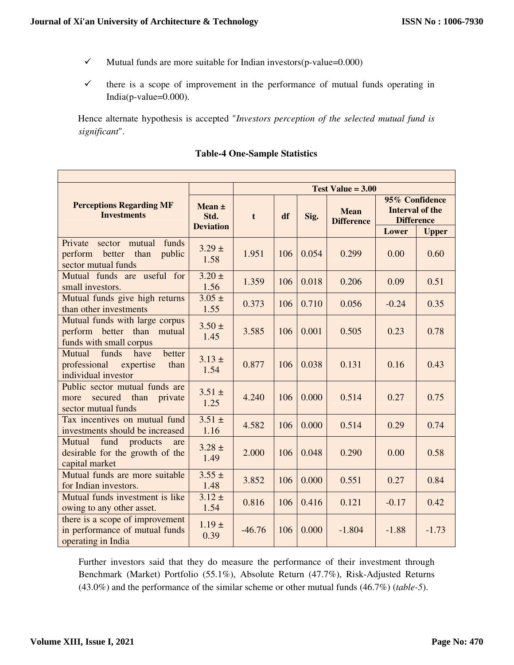٦

- $\checkmark$  Mutual funds are more suitable for Indian investors(p-value=0.000)
- $\checkmark$  there is a scope of improvement in the performance of mutual funds operating in India(p-value=0.000).

Hence alternate hypothesis is accepted "*Investors perception of the selected mutual fund is significant*".

|                                                                                               |                                        | Test Value $= 3.00$ |     |       |                                  |                                                                                        |         |  |  |  |  |  |
|-----------------------------------------------------------------------------------------------|----------------------------------------|---------------------|-----|-------|----------------------------------|----------------------------------------------------------------------------------------|---------|--|--|--|--|--|
| <b>Perceptions Regarding MF</b><br><b>Investments</b>                                         | Mean $\pm$<br>Std.<br><b>Deviation</b> | t                   | df  | Sig.  | <b>Mean</b><br><b>Difference</b> | 95% Confidence<br><b>Interval of the</b><br><b>Difference</b><br>Lower<br><b>Upper</b> |         |  |  |  |  |  |
| Private<br>funds<br>sector mutual<br>public<br>perform<br>better than<br>sector mutual funds  | $3.29 \pm$<br>1.58                     | 1.951               | 106 | 0.054 | 0.299                            | 0.00                                                                                   | 0.60    |  |  |  |  |  |
| Mutual funds are useful for<br>small investors.                                               | $3.20 \pm$<br>1.56                     | 1.359               | 106 | 0.018 | 0.206                            | 0.09                                                                                   | 0.51    |  |  |  |  |  |
| Mutual funds give high returns<br>than other investments                                      | $3.05 \pm$<br>1.55                     | 0.373               | 106 | 0.710 | 0.056                            | $-0.24$                                                                                | 0.35    |  |  |  |  |  |
| Mutual funds with large corpus<br>perform better than<br>mutual<br>funds with small corpus    | $3.50 \pm$<br>1.45                     | 3.585               | 106 | 0.001 | 0.505                            | 0.23                                                                                   | 0.78    |  |  |  |  |  |
| Mutual<br>funds<br>have<br>better<br>professional<br>expertise<br>than<br>individual investor | $3.13 \pm$<br>1.54                     | 0.877               | 106 | 0.038 | 0.131                            | 0.16                                                                                   | 0.43    |  |  |  |  |  |
| Public sector mutual funds are<br>secured<br>than<br>private<br>more<br>sector mutual funds   | $3.51 \pm$<br>1.25                     | 4.240               | 106 | 0.000 | 0.514                            | 0.27                                                                                   | 0.75    |  |  |  |  |  |
| Tax incentives on mutual fund<br>investments should be increased                              | $3.51 \pm$<br>1.16                     | 4.582               | 106 | 0.000 | 0.514                            | 0.29                                                                                   | 0.74    |  |  |  |  |  |
| fund<br>Mutual<br>products<br>are<br>desirable for the growth of the<br>capital market        | $3.28 \pm$<br>1.49                     | 2.000               | 106 | 0.048 | 0.290                            | 0.00                                                                                   | 0.58    |  |  |  |  |  |
| Mutual funds are more suitable<br>for Indian investors.                                       | $3.55 \pm$<br>1.48                     | 3.852               | 106 | 0.000 | 0.551                            | 0.27                                                                                   | 0.84    |  |  |  |  |  |
| Mutual funds investment is like<br>owing to any other asset.                                  | $3.12 \pm$<br>1.54                     | 0.816               | 106 | 0.416 | 0.121                            | $-0.17$                                                                                | 0.42    |  |  |  |  |  |
| there is a scope of improvement<br>in performance of mutual funds<br>operating in India       | $1.19 \pm$<br>0.39                     | $-46.76$            | 106 | 0.000 | $-1.804$                         | $-1.88$                                                                                | $-1.73$ |  |  |  |  |  |

## **Table-4 One-Sample Statistics**

Further investors said that they do measure the performance of their investment through Benchmark (Market) Portfolio (55.1%), Absolute Return (47.7%), Risk-Adjusted Returns (43.0%) and the performance of the similar scheme or other mutual funds (46.7%) (*table-5*).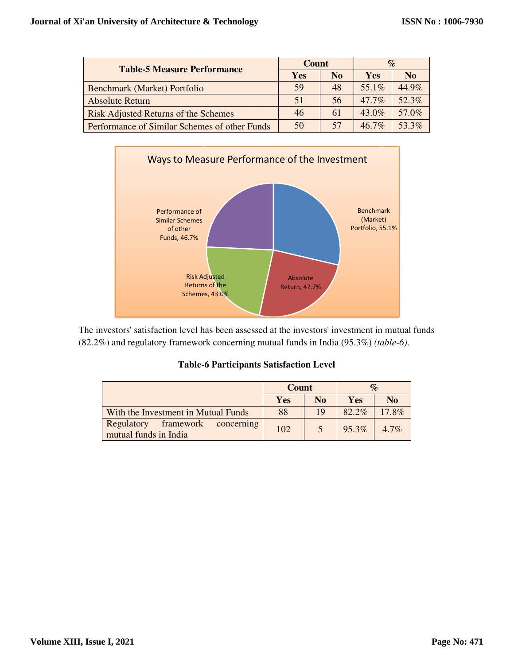| <b>Table-5 Measure Performance</b>            | Count |                | $\%$       |                |  |
|-----------------------------------------------|-------|----------------|------------|----------------|--|
|                                               | Yes   | N <sub>0</sub> | <b>Yes</b> | N <sub>0</sub> |  |
| Benchmark (Market) Portfolio                  | 59    | 48             | 55.1%      | 44.9%          |  |
| <b>Absolute Return</b>                        | 51    | 56             | $47.7\%$   | 52.3%          |  |
| <b>Risk Adjusted Returns of the Schemes</b>   | 46    | 61             | $43.0\%$   | 57.0%          |  |
| Performance of Similar Schemes of other Funds | 50    | 57             | $467\%$    | 53.3%          |  |



The investors' satisfaction level has been assessed at the investors' investment in mutual funds (82.2%) and regulatory framework concerning mutual funds in India (95.3%) *(table-6)*.

| <b>Table-6 Participants Satisfaction Level</b> |  |
|------------------------------------------------|--|
|------------------------------------------------|--|

|                                                             | <b>Count</b> |                | $\%$     |                |
|-------------------------------------------------------------|--------------|----------------|----------|----------------|
|                                                             | Yes          | N <sub>0</sub> | Yes      | N <sub>0</sub> |
| With the Investment in Mutual Funds                         | 88           | 19             | $82.2\%$ | $17.8\%$       |
| Regulatory<br>framework concerning<br>mutual funds in India | 102          |                | 95.3%    | $4.7\%$        |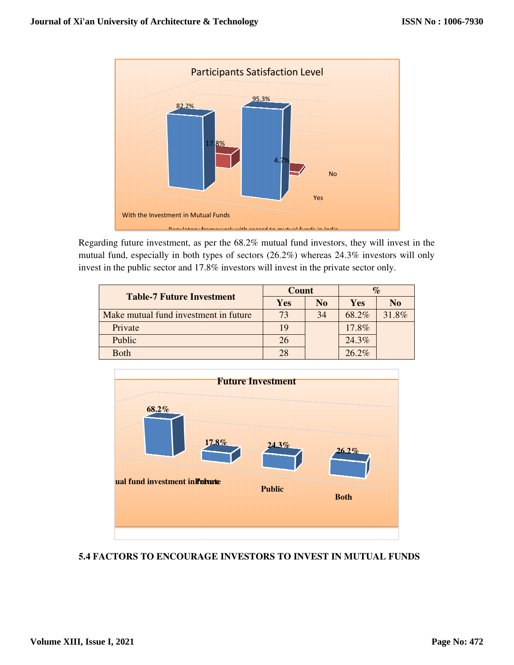

Regarding future investment, as per the 68.2% mutual fund investors, they will invest in the mutual fund, especially in both types of sectors (26.2%) whereas 24.3% investors will only invest in the public sector and 17.8% investors will invest in the private sector only. Regarding future investment, as per the  $68.2\%$  mutual fund investors, they will invest in mutual fund, especially in both types of sectors  $(26.2\%)$  whereas  $24.3\%$  investors will o invest in the public sector and 17.8

|                                       | Count |                |          |                |
|---------------------------------------|-------|----------------|----------|----------------|
| <b>Table-7 Future Investment</b>      | Yes   | N <sub>0</sub> | Yes      | N <sub>0</sub> |
| Make mutual fund investment in future | 73    | 34             | 68.2%    | 31.8%          |
| Private                               | 19    |                | 17.8%    |                |
| Public                                | 26    |                | 24.3%    |                |
| <b>Both</b>                           | 28    |                | $26.2\%$ |                |



# **5.4 FACTORS TO ENCOURAGE INVESTORS TO INVEST IN MUTUAL FUNDS**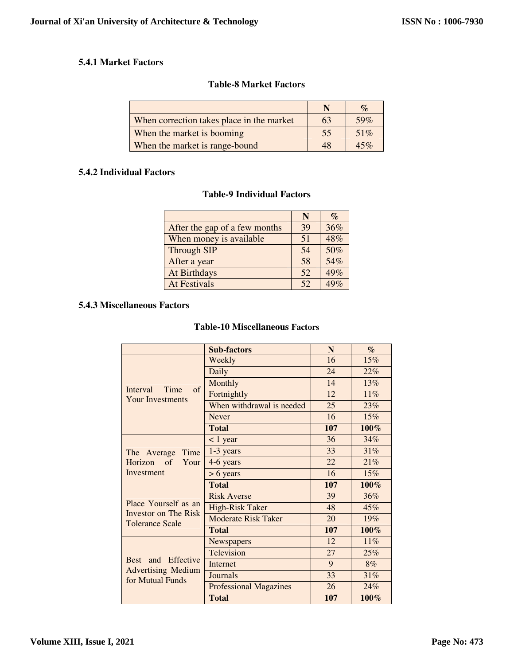## **5.4.1 Market Factors**

## **Table-8 Market Factors**

|                                           |    | $\mathcal{O}_0$ |
|-------------------------------------------|----|-----------------|
| When correction takes place in the market | 63 | 59%             |
| When the market is booming                | 55 | 51%             |
| When the market is range-bound            | 48 | 45%             |

#### **5.4.2 Individual Factors**

## **Table-9 Individual Factors**

|                               | N  | $\%$ |
|-------------------------------|----|------|
| After the gap of a few months | 39 | 36%  |
| When money is available       | 51 | 48%  |
| <b>Through SIP</b>            | 54 | 50%  |
| After a year                  | 58 | 54%  |
| At Birthdays                  | 52 | 49%  |
| <b>At Festivals</b>           | 52 | 49%  |

# **5.4.3 Miscellaneous Factors**

## **Table-10 Miscellaneous Factors**

|                                                                        | <b>Sub-factors</b>            | N   | $\mathcal{O}_0$ |
|------------------------------------------------------------------------|-------------------------------|-----|-----------------|
|                                                                        | Weekly                        | 16  | 15%             |
|                                                                        | Daily                         | 24  | 22%             |
|                                                                        | Monthly                       | 14  | 13%             |
| <b>Interval</b><br>Time<br>of                                          | Fortnightly                   | 12  | 11%             |
| <b>Your Investments</b>                                                | When withdrawal is needed     | 25  | 23%             |
|                                                                        | <b>Never</b>                  | 16  | 15%             |
|                                                                        | <b>Total</b>                  | 107 | 100%            |
| The Average<br>Time                                                    | < 1 year                      | 36  | 34%             |
|                                                                        | 1-3 years                     | 33  | 31%             |
| Horizon of<br>Your                                                     | 4-6 years                     | 22  | 21%             |
| Investment                                                             | $> 6$ years                   | 16  | 15%             |
|                                                                        | <b>Total</b>                  | 107 | 100%            |
| Place Yourself as an<br>Investor on The Risk<br><b>Tolerance Scale</b> | <b>Risk Averse</b>            | 39  | 36%             |
|                                                                        | High-Risk Taker               | 48  | 45%             |
|                                                                        | <b>Moderate Risk Taker</b>    | 20  | 19%             |
|                                                                        | <b>Total</b>                  | 107 | 100%            |
| Effective<br>Best and<br><b>Advertising Medium</b><br>for Mutual Funds | Newspapers                    | 12  | 11%             |
|                                                                        | Television                    | 27  | 25%             |
|                                                                        | <b>Internet</b>               | 9   | 8%              |
|                                                                        | Journals                      | 33  | 31%             |
|                                                                        | <b>Professional Magazines</b> | 26  | 24%             |
|                                                                        | <b>Total</b>                  | 107 | 100%            |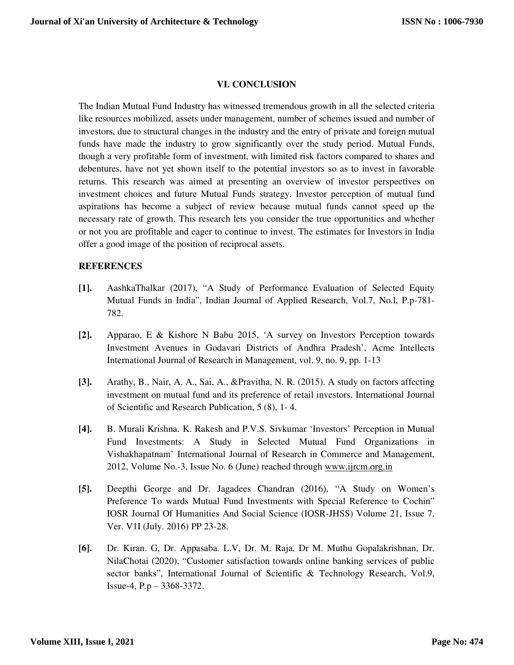#### **VI. CONCLUSION**

The Indian Mutual Fund Industry has witnessed tremendous growth in all the selected criteria like resources mobilized, assets under management, number of schemes issued and number of investors, due to structural changes in the industry and the entry of private and foreign mutual funds have made the industry to grow significantly over the study period. Mutual Funds, though a very profitable form of investment, with limited risk factors compared to shares and debentures, have not yet shown itself to the potential investors so as to invest in favorable returns. This research was aimed at presenting an overview of investor perspectives on investment choices and future Mutual Funds strategy. Investor perception of mutual fund aspirations has become a subject of review because mutual funds cannot speed up the necessary rate of growth. This research lets you consider the true opportunities and whether or not you are profitable and eager to continue to invest. The estimates for Investors in India offer a good image of the position of reciprocal assets.

#### **REFERENCES**

- **[1].** AashkaThalkar (2017), "A Study of Performance Evaluation of Selected Equity Mutual Funds in India", Indian Journal of Applied Research, Vol.7, No.l, P.p-781- 782.
- **[2].** Apparao, E & Kishore N Babu 2015, 'A survey on Investors Perception towards Investment Avenues in Godavari Districts of Andhra Pradesh', Acme Intellects International Journal of Research in Management, vol. 9, no. 9, pp. 1-13
- **[3].** Arathy, B., Nair, A. A., Sai, A., &Pravitha, N. R. (2015). A study on factors affecting investment on mutual fund and its preference of retail investors. International Journal of Scientific and Research Publication, 5 (8), 1- 4.
- **[4].** B. Murali Krishna. K. Rakesh and P.V.S. Sivkumar 'Investors' Perception in Mutual Fund Investments: A Study in Selected Mutual Fund Organizations in Vishakhapatnam' International Journal of Research in Commerce and Management, 2012, Volume No.-3, Issue No. 6 (June) reached through www.ijrcm.org.in
- **[5].** Deepthi George and Dr. Jagadees Chandran (2016), "A Study on Women's Preference To wards Mutual Fund Investments with Special Reference to Cochin" IOSR Journal Of Humanities And Social Science (IOSR-JHSS) Volume 21, Issue 7, Ver. V1I (July. 2016) PP 23-28.
- **[6].** Dr. Kiran. G, Dr. Appasaba. L.V, Dr. M. Raja, Dr M. Muthu Gopalakrishnan, Dr. NilaChotai (2020), "Customer satisfaction towards online banking services of public sector banks", International Journal of Scientific & Technology Research, Vol.9, Issue-4, P.p – 3368-3372.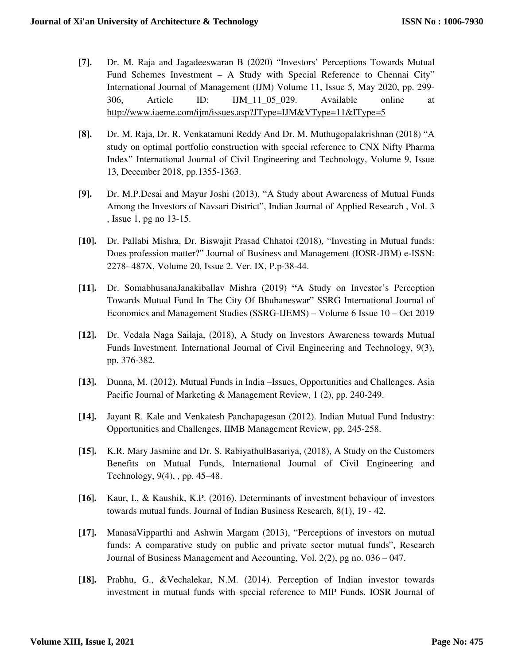- **[7].** Dr. M. Raja and Jagadeeswaran B (2020) "Investors' Perceptions Towards Mutual Fund Schemes Investment – A Study with Special Reference to Chennai City" International Journal of Management (IJM) Volume 11, Issue 5, May 2020, pp. 299- 306, Article ID: IJM\_11\_05\_029. Available online at http://www.iaeme.com/ijm/issues.asp?JType=IJM&VType=11&IType=5
- **[8].** Dr. M. Raja, Dr. R. Venkatamuni Reddy And Dr. M. Muthugopalakrishnan (2018) "A study on optimal portfolio construction with special reference to CNX Nifty Pharma Index" International Journal of Civil Engineering and Technology, Volume 9, Issue 13, December 2018, pp.1355-1363.
- **[9].** Dr. M.P.Desai and Mayur Joshi (2013), "A Study about Awareness of Mutual Funds Among the Investors of Navsari District", Indian Journal of Applied Research , Vol. 3 , Issue 1, pg no 13-15.
- **[10].** Dr. Pallabi Mishra, Dr. Biswajit Prasad Chhatoi (2018), "Investing in Mutual funds: Does profession matter?" Journal of Business and Management (IOSR-JBM) e-ISSN: 2278- 487X, Volume 20, Issue 2. Ver. IX, P.p-38-44.
- **[11].** Dr. SomabhusanaJanakiballav Mishra (2019) **"**A Study on Investor's Perception Towards Mutual Fund In The City Of Bhubaneswar" SSRG International Journal of Economics and Management Studies (SSRG-IJEMS) – Volume 6 Issue 10 – Oct 2019
- **[12].** Dr. Vedala Naga Sailaja, (2018), A Study on Investors Awareness towards Mutual Funds Investment. International Journal of Civil Engineering and Technology, 9(3), pp. 376-382.
- **[13].** Dunna, M. (2012). Mutual Funds in India –Issues, Opportunities and Challenges. Asia Pacific Journal of Marketing & Management Review, 1 (2), pp. 240-249.
- **[14].** Jayant R. Kale and Venkatesh Panchapagesan (2012). Indian Mutual Fund Industry: Opportunities and Challenges, IIMB Management Review, pp. 245-258.
- **[15].** K.R. Mary Jasmine and Dr. S. RabiyathulBasariya, (2018), A Study on the Customers Benefits on Mutual Funds, International Journal of Civil Engineering and Technology, 9(4), , pp. 45–48.
- **[16].** Kaur, I., & Kaushik, K.P. (2016). Determinants of investment behaviour of investors towards mutual funds. Journal of Indian Business Research, 8(1), 19 - 42.
- **[17].** ManasaVipparthi and Ashwin Margam (2013), "Perceptions of investors on mutual funds: A comparative study on public and private sector mutual funds", Research Journal of Business Management and Accounting, Vol. 2(2), pg no. 036 – 047.
- **[18].** Prabhu, G., &Vechalekar, N.M. (2014). Perception of Indian investor towards investment in mutual funds with special reference to MIP Funds. IOSR Journal of